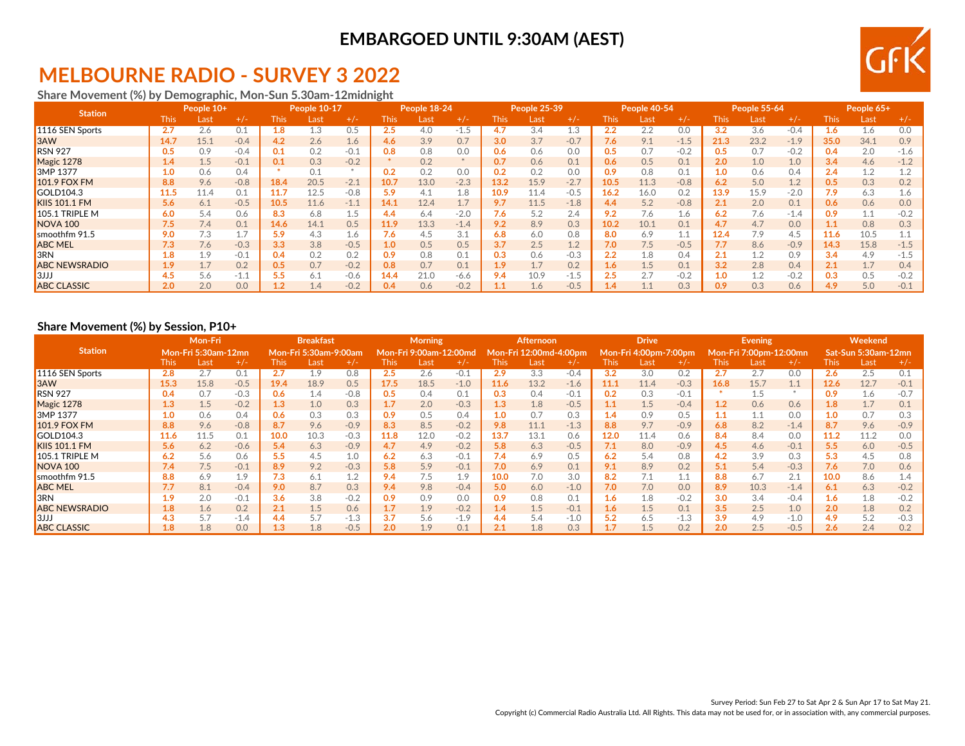# **MELBOURNE RADIO - SURVEY 3 2022**

**Share Movement (%) by Demographic, Mon-Sun 5.30am-12midnight**

| <b>Station</b>       |      | People 10+ |        |      | <b>People 10-17</b> |        |                  | People 18-24 |        |       | People 25-39 |        |      | People 40-54 |        |                  | <b>People 55-64</b> |        |       | People 65+ |        |
|----------------------|------|------------|--------|------|---------------------|--------|------------------|--------------|--------|-------|--------------|--------|------|--------------|--------|------------------|---------------------|--------|-------|------------|--------|
|                      | This | Last       | $+/-$  | This | _ast                | $+/-$  | This.            | Last         | $+/-$  | This: | Last         | $+/-$  | This | Last         | $+/-$  | This.            | Lasi                | $+/-$  | This: | Last       | $+/-$  |
| 1116 SEN Sports      | 2.7  | 2.6        | 0.1    | 1.8  | 1.3                 | 0.5    | 2.5              | 4.0          | $-1.5$ | 4.7   | 3.4          | 1.3    | 2.2  | 2.2          | 0.0    | 3.2              | 3.6                 | $-0.4$ | 1.6   | 1.6        | 0.0    |
| <b>B</b> 3AW         | 14.7 | 15.1       | $-0.4$ | 4.2  | 2.6                 | 1.6    | $4.6^{\circ}$    | 3.9          | 0.7    | 3.0   | 3.7          | $-0.7$ | 7.6  | 9.1          | $-1.5$ | 21.3             | 23.2                | $-1.9$ | 35.0  | 34.1       | 0.9    |
| <b>RSN 927</b>       | 0.5  | 0.9        | $-0.4$ | 0.1  | 0.2                 | $-0.1$ | 0.8              | 0.8          | 0.0    | 0.6   | 0.6          | 0.0    | 0.5  | 0.7          | $-0.2$ | 0.5              |                     | $-0.2$ | 0.4   | 2.0        | $-1.6$ |
| Magic 1278           | 1.4  | 1.5        | $-0.1$ | 0.1  | 0.3                 | $-0.2$ |                  | 0.2          |        | 0.7   | 0.6          | 0.1    | 0.6  | 0.5          | 0.1    | 2.0              | 1.0                 | 1.0    | 3.4   | 4.6        | $-1.2$ |
| 3MP 1377             | 1.0  | 0.6        | 0.4    |      | 0.1                 |        | 0.2              |              | 0.0    | 0.2   | 0.2          | 0.0    | 0.9  | 0.8          | 0.1    | 1.0 <sub>1</sub> | 0.6                 | 0.4    | 2.4   | 1.2        | 1.2    |
| <b>101.9 FOX FM</b>  | 8.8  | 9.6        | $-0.8$ | 18.4 | 20.5                | $-2.1$ | 10.7             | 13.0         | $-2.3$ | 13.2  | 15.9         | $-2.7$ | 10.5 | 11.3         | $-0.8$ | 6.2              | 5.0                 | 1.2    | 0.5   | 0.3        | 0.2    |
| GOLD104.3            | 11.5 | 11.4       | 0.1    | 11.7 | 12.5                | $-0.8$ | 5.9              | 4.1          | 1.8    | 10.9  | 11.4         | $-0.5$ | 16.2 | 16.0         | 0.2    | 13.9             | 15.9                | $-2.0$ | 7.9   | 6.3        | 1.6    |
| <b>KIIS 101.1 FM</b> | 5.6  | 6.1        | $-0.5$ | 10.5 | 11.6                | $-1.1$ | 14.1             | 12.4         | 1.7    | 9.7   | 11.5         | $-1.8$ | 4.4  | 5.2          | $-0.8$ | 2.1              | 2.0                 | 0.1    | 0.6   | 0.6        | 0.0    |
| $105.1$ TRIPLE M     | 6.0  | 5.4        | 0.6    | 8.3  | 6.8                 | 1.5    | 4.4              | 6.4          | $-2.0$ | 7.6   | 5.2          | 2.4    | 9.2  | 7.6          | 1.6    | 6.2              | 7.6                 | $-1.4$ | 0.9   | 1.1        | $-0.2$ |
| <b>NOVA 100</b>      | 7.5  | 7.4        | 0.1    | 14.6 | 14.1                | 0.5    | 11.9             | 13.3         | $-1.4$ | 9.2   | 8.9          | 0.3    | 10.2 | 10.1         | 0.1    | 4.7              | 4.7                 | 0.0    | 1.1   | 0.8        | 0.3    |
| smoothfm 91.5        | 9.0  | 7.3        |        | 5.9  | 4.3                 | 1.6    | 7.6              | 4.5          | 3.1    | 6.8   | 6.0          | 0.8    | 8.0  | 6.9          | 1.1    | 12.4             | 7.9                 | 4.5    | 11.6  | 10.5       |        |
| <b>ABC MEL</b>       | 7.3  | 7.6        | $-0.3$ | 3.3  | 3.8                 | $-0.5$ | 1.0 <sub>2</sub> | 0.5          | 0.5    | 3.7   | 2.5          | 1.2    | 7.0  | 7.5          | $-0.5$ | 7.7              | 8.6                 | $-0.9$ | 14.3  | 15.8       | $-1.5$ |
| 3RN                  | 1.8  | 1.9        | $-0.1$ | 0.4  | 0.2                 | 0.2    | 0.9              | 0.8          | 0.1    | 0.3   | 0.6          | $-0.3$ | 2.2  | 1.8          | 0.4    | 2.1              |                     | 0.9    | 3.4   | 4.9        | $-1.5$ |
| <b>ABC NEWSRADIO</b> | 1.9  | 1.7        | 0.2    | 0.5  | 0.7                 | $-0.2$ | 0.8              | 0.7          | 0.1    | 1.9   | 1.7          | 0.2    | 1.6  | 1.5          | 0.1    | 3.2              | 2.8                 | 0.4    | 2.1   | 1.7        | 0.4    |
| l3JJJ                | 4.5  | 5.6        | $-1.1$ | 5.5  | 6.1                 | $-0.6$ | 14.4             | 21.0         | $-6.6$ | 9.4   | 10.9         | $-1.5$ | 2.5  |              | $-0.2$ | 1.0              |                     | $-0.2$ | 0.3   | 0.5        | $-0.2$ |
| <b>ABC CLASSIC</b>   | 2.0  | 2.0        | 0.0    |      | 1.4                 | $-0.2$ | 0.4              | 0.6          | $-0.2$ |       | 1.6          | $-0.5$ | 1.4  |              | 0.3    | 0.9              | 0.3                 | 0.6    | 4.9   | 5.0        | $-0.1$ |

#### **Share Movement (%) by Session, P10+**

|                      |             | Mon-Fri                    |        |             | <b>Breakfast</b>      |        |             | <b>Morning</b>         |        |      | <b>Afternoon</b>       |        |             | <b>Drive</b>                  |        |      | <b>Evening</b>         |        |             | Weekend                    |        |
|----------------------|-------------|----------------------------|--------|-------------|-----------------------|--------|-------------|------------------------|--------|------|------------------------|--------|-------------|-------------------------------|--------|------|------------------------|--------|-------------|----------------------------|--------|
| <b>Station</b>       |             | <b>Mon-Fri 5:30am-12mn</b> |        |             | Mon-Fri 5:30am-9:00am |        |             | Mon-Fri 9:00am-12:00md |        |      | Mon-Fri 12:00md-4:00pm |        |             | Mon-Fri 4:00pm-7: <u>00pm</u> |        |      | Mon-Fri 7:00pm-12:00mn |        |             | <b>Sat-Sun 5:30am-12mn</b> |        |
|                      | <b>This</b> | Last                       | $+/-$  | <b>This</b> | Last                  | $+/-$  | <b>This</b> | Last                   | $+/-$  | This | Last                   | $+/-$  | <b>This</b> | Last                          | $+/-$  | This | _ast                   | $+/-$  | <b>This</b> | Last                       | $+/-$  |
| 1116 SEN Sports      | 2.8         | 2.7                        | 0.1    | 2.7         | 1.9                   | 0.8    | 2.5         | 2.6                    | $-0.1$ | 2.9  | 3.3                    | $-0.4$ | 3.2         | 3.0                           | 0.2    |      |                        | 0.0    | 2.6         | 2.5                        | 0.1    |
| 3AW                  | 15.3        | 15.8                       | $-0.5$ | 19.4        | 18.9                  | 0.5    | 17.5        | 18.5                   | $-1.0$ | 11.6 | 13.2                   | $-1.6$ | 11.1        | 11.4                          | $-0.3$ | 16.8 | 15.7                   | 1.1    | 12.6        | 12.7                       | $-0.1$ |
| <b>RSN 927</b>       | 0.4         | 0.7                        | $-0.3$ | 0.6         | 1.4                   | $-0.8$ | 0.5         | 0.4                    | 0.1    | 0.3  | 0.4                    | $-0.1$ | 0.2         | 0.3                           | $-0.1$ |      |                        |        | 0.9         | 1.6                        | $-0.7$ |
| Magic 1278           | 1.3         | 1.5                        | $-0.2$ | $1.3\,$     | 1.0                   | 0.3    | 1.7         | 2.0                    | $-0.3$ | 1.3  | 1.8                    | $-0.5$ | 1.1         | 1.5                           | $-0.4$ | 1.2  | 0.6                    | 0.6    | 1.8         | 1.7                        | 0.1    |
| 3MP 1377             | 1.0         | 0.6                        | 0.4    | 0.6         | 0.3                   | 0.3    | 0.9         | 0.5                    | 0.4    | 1.0  | 0.7                    | 0.3    | 1.4         | 0.9                           | 0.5    | 1.1  |                        | 0.0    | 1.0         | 0.7                        | 0.3    |
| 101.9 FOX FM         | 8.8         | 9.6                        | $-0.8$ | 8.7         | 9.6                   | $-0.9$ | 8.3         | 8.5                    | $-0.2$ | 9.8  | 11.1                   | $-1.3$ | 8.8         | 9.7                           | $-0.9$ | 6.8  | 8.2                    | $-1.4$ | 8.7         | 9.6                        | $-0.9$ |
| GOLD104.3            | 11.6        | 11.5                       | 0.1    | 10.0        | 10.3                  | $-0.3$ | 11.8        | 12.0                   | $-0.2$ | 13.7 | 13.1                   | 0.6    | 12.0        | 11.4                          | 0.6    | 8.4  | 8.4                    | 0.0    | 11.2        | 11.2                       | 0.0    |
| <b>KIIS 101.1 FM</b> | 5.6         | 6.2                        | $-0.6$ | 5.4         | 6.3                   | $-0.9$ | 4.7         | 4.9                    | $-0.2$ | 5.8  | 6.3                    | $-0.5$ | 7.1         | 8.0                           | $-0.9$ | 4.5  | 4.6                    | $-0.1$ | 5.5         | 6.0                        | $-0.5$ |
| 105.1 TRIPLE M       | 6.2         | 5.6                        | 0.6    | 5.5         | 4.5                   | 1.0    | 6.2         | 6.3                    | $-0.1$ | 7.4  | 6.9                    | 0.5    | 6.2         | 5.4                           | 0.8    | 4.2  | 3.9                    | 0.3    | 5.3         | 4.5                        | 0.8    |
| <b>NOVA 100</b>      | 7.4         | 7.5                        | $-0.1$ | 8.9         | 9.2                   | $-0.3$ | 5.8         | 5.9                    | $-0.1$ | 7.0  | 6.9                    | 0.1    | 9.1         | 8.9                           | 0.2    | 5.1  | 5.4                    | $-0.3$ | 7.6         | 7.0                        | 0.6    |
| smoothfm 91.5        | 8.8         | 6.9                        | 1.9    | 7.3         | 6.1                   | 1.2    | 9.4         | 7.5                    | 1.9    | 10.0 | 7.0                    | 3.0    | 8.2         | 7.1                           | 1.1    | 8.8  | 6.7                    | 2.1    | 10.0        | 8.6                        | 1.4    |
| <b>ABC MEL</b>       | 7.7         | 8.1                        | $-0.4$ | 9.0         | 8.7                   | 0.3    | 9.4         | 9.8                    | $-0.4$ | 5.0  | 6.0                    | $-1.0$ | 7.0         | 7.0                           | 0.0    | 8.9  | 10.3                   | $-1.4$ | 6.1         | 6.3                        | $-0.2$ |
| 3RN                  | 1.9         | 2.0                        | $-0.1$ | 3.6         | 3.8                   | $-0.2$ | 0.9         | 0.9                    | 0.0    | 0.9  | 0.8                    | 0.1    | 1.6         | 1.8                           | $-0.2$ | 3.0  | 3.4                    | $-0.4$ | 1.6         | 1.8                        | $-0.2$ |
| <b>ABC NEWSRADIO</b> | 1.8         | 1.6                        | 0.2    | 2.1         | 1.5                   | 0.6    |             | 1.9                    | $-0.2$ | 1.4  | 1.5                    | $-0.1$ | 1.6         | 1.5                           | 0.1    | 3.5  | 2.5                    | 1.0    | 2.0         | 1.8                        | 0.2    |
| 3JJJ                 | 4.3         | 5.7                        | $-1.4$ | 4.4         | 5.7                   | $-1.3$ | 3.7         | 5.6                    | $-1.9$ | 4.4  | 5.4                    | $-1.0$ | 5.2         | 6.5                           | $-1.3$ | 3.9  | 4.9                    | $-1.0$ | 4.9         | 5.2                        | $-0.3$ |
| <b>ABC CLASSIC</b>   | 1.8         | 1.8                        | 0.0    | 1.3         | 1.8                   | $-0.5$ | 2.0         | 1.9                    | 0.1    |      | 1.8                    | 0.3    | 1.7         |                               | 0.2    | 2.0  | 2.5                    | $-0.5$ | 2.6         | 2.4                        | 0.2    |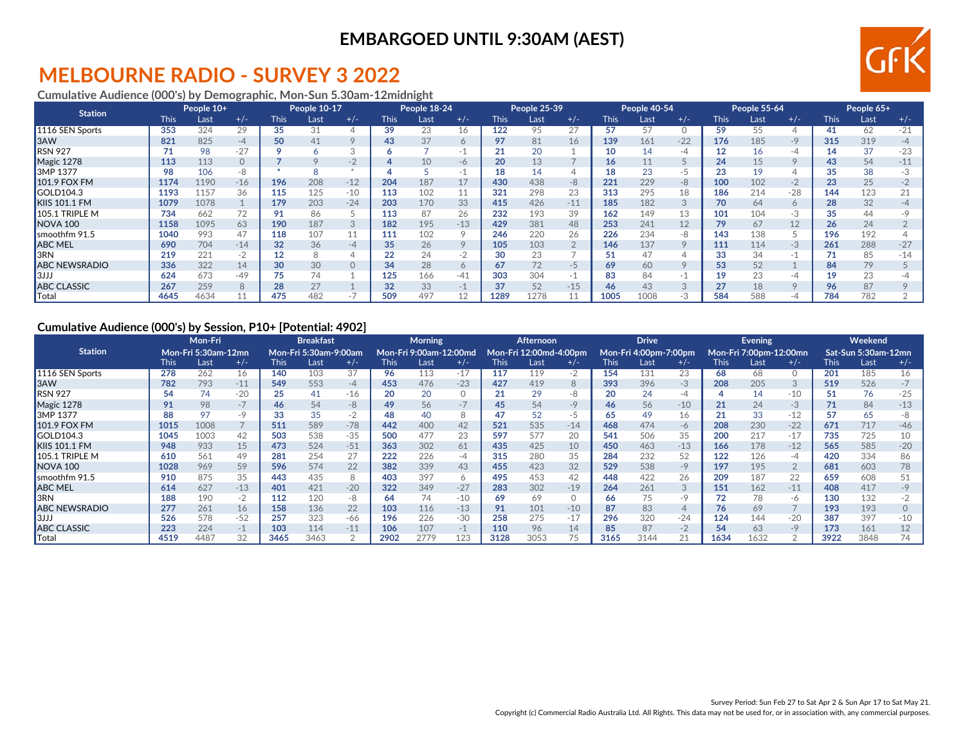### **MELBOURNE RADIO - SURVEY 3 2022**

#### **Cumulative Audience (000's) by Demographic, Mon-Sun 5.30am-12midnight**

| <b>Station</b>       |             | People 10+ |       |             | <b>People 10-17</b> |                  |             | People 18-24 |         |             | People 25-39 |        |             | People 40-54 |         |             | <b>People 55-64</b> |         |             | People 65+ |       |
|----------------------|-------------|------------|-------|-------------|---------------------|------------------|-------------|--------------|---------|-------------|--------------|--------|-------------|--------------|---------|-------------|---------------------|---------|-------------|------------|-------|
|                      | <b>This</b> | Last       | $+/-$ | <b>This</b> | Last                | $+/-$            | <b>This</b> | Last         | $+/-$   | <b>This</b> | Last         | $+/-$  | <b>This</b> | Last         | $+/-$   | <b>This</b> | Last                | $+/-$   | <b>This</b> | Last       | $+/-$ |
| 1116 SEN Sports      | 353         | 324        | 29    | 35          | 31                  | ↵                | 39          | 23           | 16      | 122         | 95           |        | 57          | 57           |         | 59          | 55                  |         | 41          | 62         | $-21$ |
| 3AW                  | 821         | 825        | $-4$  | 50          | 41                  | $\circ$          | 43          | 37           | 6       | 97          | 81           | 16     | 139         | 161          | $-22$   | 176         | 185                 | $-9$    | 315         | 319        | -4    |
| RSN 927              | 71          | 98         | $-27$ |             |                     | $\sqrt{2}$<br>-5 |             |              | ΞĪ.     | 21          | 20           |        | 10          | 14           | -4      | 12          | 16                  | -4      | 14          | 37         | $-23$ |
| Magic 1278           | 113         | 113        |       |             |                     | $-2$             |             | 10           | -6      | 20          | 13           |        | 16          | 11           |         | 24          | 15                  | $\circ$ | 43          | 54         | $-11$ |
| 3MP 1377             | 98          | 106        | -8    |             |                     |                  |             |              | $-1$    | 18          | 14           |        | 18          | 23           | -5      |             |                     |         | 35          | 38         |       |
| 101.9 FOX FM         | 1174        | 1190       | $-16$ | 196         | 208                 | $-12$            | 204         | 187          | 17      | 430         | 438          | -8     | 221         | 229          | $-8$    | 100         | 102                 | $-2$    | 23          | 25         |       |
| GOLD104.3            | 1193        | 1157       | 36    | 115         | 125                 | $-10$            | 113         | 102          | 11      | 321         | 298          | 23     | 313         | 295          | 18      | 186         | 214                 | $-28$   | 144         | 123        |       |
| KIIS 101.1 FM        | 1079        | 1078       |       | 179         | 203                 | $-24$            | 203         | 170          | 33      | 415         | 426          | $-11$  | 185         | 182          |         | 70          | 64                  | $\circ$ | 28          | 32         |       |
| 105.1 TRIPLE M       | 734         | 662        | 72    | 91          | 86                  |                  | 113         | 87           | 26      | 232         | 193          | 39     | 162         | 149          | 13      | 101         | 104                 | -3      | 35          | 44         |       |
| <b>NOVA 100</b>      | 1158        | 1095       | 63    | 190         | 187                 | 3                | 182         | 195          | $-13$   | 429         | 381          | 48     | 253         | 241          | 12      | 79.         | 67                  | 12      | 26          | 24         |       |
| smoothfm 91.5        | 1040        | 993        | 47    | 118         | 107                 | 11               | 111         | 102          | 9       | 246         | 220          | 26     | 226         | 234          | -8      | 143         | 138                 |         | 196         | 192        |       |
| <b>ABC MEL</b>       | 690         | 704        | $-14$ | 32          | 36                  | $-4$             | 35          | 26           | $\circ$ | 105         | 103          |        | 146         | 137          | $\circ$ | 111         | 114                 | $-3$    | 261         | 288        | $-27$ |
| 3RN                  | 219         | 221        | $-2$  | 12          | 8                   |                  |             | 24           | $-2$    | 30          | 23           |        | 51          | 47           |         | 33          | 34                  | $-1$    |             | 85         | $-14$ |
| <b>ABC NEWSRADIO</b> | 336         | 322        | 14    | 30          | 30                  | $\circ$          | 34          | 28           | 6       | 67          | 72           | -5     | 69          | 60           | $\circ$ | 53          | 52                  |         | 84          | 79         |       |
| 3JJJ                 | 624         | 673        | $-49$ | 75          | 74                  |                  | 125         | 166          | $-41$   | 303         | 304          | $\sim$ | 83          | 84           | $\sim$  | 19          | 23                  | -4      | 19          | 23         |       |
| <b>ABC CLASSIC</b>   | 267         | 259        |       | 28          | 27                  |                  | 32          | 33           | $-1$    | 37          | 52           | $-15$  | 46          | 43           | 3       |             | 18                  | $\circ$ | 96          | 87         |       |
| Total                | 4645        | 4634       |       | 475         | 482                 |                  | 509         | 497          | 12      | 1289        | 1278         |        | 1005        | 1008         | $-5.5$  | 584         | 588                 | -4      | 784         | 782        |       |

#### **Cumulative Audience (000's) by Session, P10+ [Potential: 4902]**

|                      |             | Mon-Fri             |       |             | <b>Breakfast</b>             |       |      | <b>Morning</b>         |         |             | <b>Afternoon</b>       |          |             | <b>Drive</b>          |       |             | <b>Evening</b>         |                |             | Weekend             |       |
|----------------------|-------------|---------------------|-------|-------------|------------------------------|-------|------|------------------------|---------|-------------|------------------------|----------|-------------|-----------------------|-------|-------------|------------------------|----------------|-------------|---------------------|-------|
| <b>Station</b>       |             | Mon-Fri 5:30am-12mn |       |             | <b>Mon-Fri 5:30am-9:00am</b> |       |      | Mon-Fri 9:00am-12:00md |         |             | Mon-Fri 12:00md-4:00pm |          |             | Mon-Fri 4:00pm-7:00pm |       |             | Mon-Fri 7:00pm-12:00mn |                |             | Sat-Sun 5:30am-12mn |       |
|                      | <b>This</b> | Last                | $+/-$ | <b>This</b> | Last                         | $+/-$ | This | Last                   | $+/-$   | <b>This</b> | Last                   | $+/-$    | <b>This</b> | Last                  | $+/-$ | <b>This</b> | Last                   | $+/-$          | <b>This</b> | Last                | $+/-$ |
| 1116 SEN Sports      | 278         | 262                 | 16    | 140         | 103                          | 37    | 96   | 113                    | $-17$   | 117         | 119                    | $-2$     | 154         | 131                   | 23    | 68          | 68                     | $\circ$        | 201         | 185                 | 16    |
| 3AW                  | 782         | 793                 | $-11$ | 549         | 553                          | $-4$  | 453  | 476                    | $-23$   | 427         | 419                    | 8        | 393         | 396                   | $-3$  | 208         | 205                    | 3              | 519         | 526                 | $-7$  |
| <b>RSN 927</b>       | 54          | 74                  | $-20$ | 25          | 41                           | $-16$ | 20   | 20                     | $\circ$ |             | 29                     | -8       | 20          | 24                    | -4    |             |                        | $-10$          | 51          | 76                  | $-25$ |
| Magic 1278           | 91          | 98                  | $-$ / | 46          | 54                           | -8    | 49   | 56                     | $-7$    | 45          | 54                     | $-9$     | 46          | 56                    | $-10$ | 21          | 24                     | $-3$           |             | 84                  | $-13$ |
| 3MP 1377             | 88          | 97                  | $-9$  | 33          | 35                           | $-2$  | 48   | 40                     | 8       | 47          | 52                     | -5       | 65          | 49                    | 16    | 21          | 33                     | $-12$          | 57          | 65                  | -8    |
| 101.9 FOX FM         | 1015        | 1008                |       | 511         | 589                          | $-78$ | 442  | 400                    | 42      | 521         | 535                    | $-14$    | 468         | 474                   | -6    | 208         | 230                    | $-22$          | 671         | 717                 | $-46$ |
| GOLD104.3            | 1045        | 1003                | 42    | 503         | 538                          | $-35$ | 500  | 477                    | 23      | 597         | 577                    | 20       | 541         | 506                   | 35    | 200         | 217                    | $-17$          | 735         | 725                 | 10    |
| <b>KIIS 101.1 FM</b> | 948         | 933                 | 15    | 473         | 524                          | $-51$ | 363  | 302                    | 61      | 435         | 425                    | 10       | 450         | 463                   | $-13$ | 166         | 178                    | $-12$          | 565         | 585                 | $-20$ |
| 105.1 TRIPLE M       | 610         | 561                 | 49    | 281         | 254                          | 27    | 222  | 226                    | -4      | 315         | 280                    | 35       | 284         | 232                   | 52    | 122         | 126                    | -4             | 420         | 334                 | 86    |
| NOVA <sub>100</sub>  | 1028        | 969                 | 59    | 596         | 574                          | 22    | 382  | 339                    | 43      | 455         | 423                    | 32       | 529         | 538                   | $-9$  | 197         | 195                    | $\overline{2}$ | 681         | 603                 | 78    |
| smoothfm 91.5        | 910         | 875                 | 35    | 443         | 435                          | 8     | 403  | 397                    | 6       | 495         | 453                    | 42       | 448         | 422                   | 26    | 209         | 187                    | 22             | 659         | 608                 | 51    |
| <b>ABC MEL</b>       | 614         | 627                 | $-13$ | 401         | 421                          | $-20$ | 322  | 349                    | $-27$   | 283         | 302                    | $-19$    | 264         | 261                   |       | 151         | 162                    | $-11$          | 408         | 417                 | $-9$  |
| 3RN                  | 188         | 190                 | $-2$  | 112         | 120                          | -8    | 64   | 74                     | $-10$   | 69          | 69                     | $\Omega$ | 66          | 75                    | $-9$  |             |                        | -6             | 130         | 132                 | $-2$  |
| <b>ABC NEWSRADIO</b> | 277         | 261                 | 16    | 158         | 136                          | 22    | 103  | 116                    | $-13$   | 91          | 101                    | $-10$    | 87          | 83                    |       | 76          | 69                     | $\overline{7}$ | 193         | 193                 |       |
| 3JJJ                 | 526         | 578                 | $-52$ | 257         | 323                          | -66   | 196  | 226                    | $-30$   | 258         | 275                    | $-17$    | 296         | 320                   | $-24$ | 124         | 144                    | $-20$          | 387         | 397                 | $-10$ |
| <b>ABC CLASSIC</b>   | 223         | 224                 | $-$   | 103         | 114                          | $-11$ | 106  | 107                    | $-1$    | 110         | 96                     | 14       | 85          | 87                    | $-2$  | 54          | 63                     | $-9$           | 173         | 161                 | 12    |
| Total                | 4519        | 4487                | 32    | 3465        | 3463                         |       | 2902 |                        | 123     | 3128        | 3053                   |          | 3165        | 3144                  |       | 1634        | 1632                   |                | 3922        | 3848                | 74    |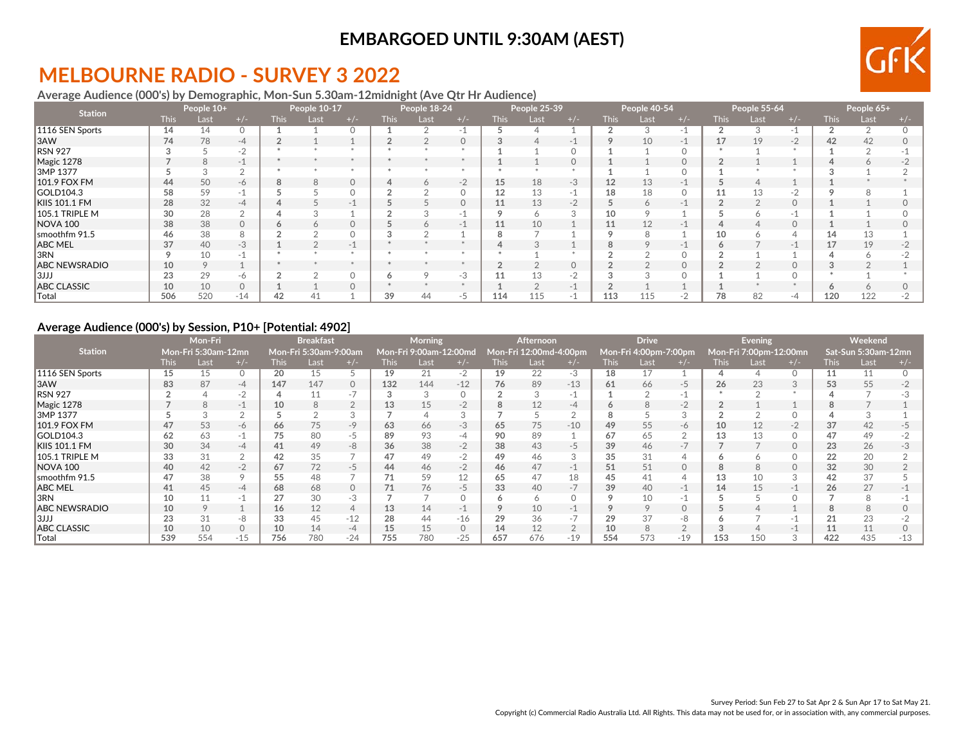# **MELBOURNE RADIO - SURVEY 3 2022**

#### **Average Audience (000's) by Demographic, Mon-Sun 5.30am-12midnight (Ave Qtr Hr Audience)**

| <b>Station</b>       |             | People 10+ |          |             | People 10-17 |          |             | People 18-24 |          |        | People 25-39 |                          |             | People 40-54 |          |             | People 55-64 |          |             | People 65+     |       |
|----------------------|-------------|------------|----------|-------------|--------------|----------|-------------|--------------|----------|--------|--------------|--------------------------|-------------|--------------|----------|-------------|--------------|----------|-------------|----------------|-------|
|                      | <b>This</b> | Last       | $+/-$    | <b>This</b> | Last         | $+/-$    | <b>This</b> | Last         | $+/-$    | This l | Last         | $+/-$                    | <b>This</b> | Last         | $+/-$    | <b>This</b> | Last         | $+/-$    | <b>This</b> | Last           | $+/-$ |
| 1116 SEN Sports      | 14          | 14         |          |             |              | $\Omega$ |             |              | $-1$     |        | 4            |                          |             |              | ΞT       |             |              | $-1$     |             | $\mathfrak{D}$ |       |
| 3AW                  | 74          | 78         | -4       |             |              |          |             |              | $\Omega$ |        |              | $\overline{\phantom{a}}$ |             | 10           | $-1$     | 17          | 19           | $-2$     | 42          | 42             |       |
| <b>RSN 927</b>       |             |            | $-2$     |             |              |          |             |              |          |        |              |                          |             |              |          |             |              |          |             |                |       |
| Magic 1278           |             | 8          | $-1$     |             |              |          |             |              |          |        |              | $\Omega$                 |             |              | $\Omega$ |             |              |          |             | <sup>6</sup>   |       |
| 3MP 1377             |             |            |          |             |              |          |             |              |          |        |              |                          |             |              |          |             |              |          |             |                |       |
| 101.9 FOX FM         | 44          | 50         | -6       | 8           |              | $\circ$  |             |              | $-2$     | 15     | 18           | $-3$                     | 12          | 13           | -        |             |              |          |             |                |       |
| GOLD104.3            | 58          | 59         | н.       |             |              |          |             |              |          | 12     | 13           | ÷                        | 18          | 18           |          |             | 13           | $-2$     |             |                |       |
| <b>KIIS 101.1 FM</b> | 28          | 32         | $-4$     |             |              | $-$      |             |              | $\Omega$ |        | 13           | $-2$                     |             |              | $-$      |             |              | $\Omega$ |             |                |       |
| 105.1 TRIPLE M       | 30          | 28         |          |             |              |          |             |              | - 1      |        | <sup>6</sup> |                          | 10          |              |          |             |              | - 11     |             |                |       |
| <b>NOVA 100</b>      | 38          | 38         |          |             |              | $\Omega$ |             |              | $-1$     |        | 10           |                          | 11          | 12           | -        |             |              | $\Omega$ |             |                |       |
| smoothfm 91.5        | 46          | 38         |          |             |              |          |             |              |          |        |              |                          |             |              |          | 10          |              |          | 14          | 13             |       |
| <b>ABC MEL</b>       | 37          | 40         | $-3$     |             |              | -1       |             |              |          |        | $\sqrt{2}$   |                          | 8           |              | $-1$     |             |              | $-1$     | 17          | 19             |       |
| 3RN                  |             | 10         |          |             |              |          |             |              |          |        |              |                          |             |              |          |             |              |          |             |                |       |
| <b>ABC NEWSRADIO</b> | 10          | 9          |          |             |              |          |             |              |          |        |              | $\Omega$                 |             |              | $\Omega$ |             |              | $\Omega$ |             |                |       |
| 3JJJ                 | 23          | 29         | -6       |             |              | $\Omega$ |             |              | $-3$     |        | 13           | $-2$                     |             |              |          |             |              |          |             |                |       |
| <b>ABC CLASSIC</b>   | 10          | 10         | $\Omega$ |             |              | $\Omega$ |             |              |          |        | $\Omega$     |                          |             |              |          |             |              |          |             |                |       |
| Total                | 506         | 520        | $-14$    | 42          |              |          | 39          | 44           | -5       | 114    | 115          |                          | 113         | 115          | $-1$     | 78          | 82           | -4       | 120         | 122            |       |

#### **Average Audience (000's) by Session, P10+ [Potential: 4902]**

|                      |             | Mon-Fri             |            |                 | <b>Breakfast</b>      |                          |             | <b>Morning</b>         |         |             | <b>Afternoon</b> |                        |             | <b>Drive</b>          |          |             | <b>Evening</b>         |          |             | Weekend             |       |
|----------------------|-------------|---------------------|------------|-----------------|-----------------------|--------------------------|-------------|------------------------|---------|-------------|------------------|------------------------|-------------|-----------------------|----------|-------------|------------------------|----------|-------------|---------------------|-------|
| <b>Station</b>       |             | Mon-Fri 5:30am-12mn |            |                 | Mon-Fri 5:30am-9:00am |                          |             | Mon-Fri 9:00am-12:00md |         |             |                  | Mon-Fri 12:00md-4:00pm |             | Mon-Fri 4:00pm-7:00pm |          |             | Mon-Fri 7:00pm-12:00mn |          |             | Sat-Sun 5:30am-12mn |       |
|                      | <b>This</b> | Last                | $+/-$      | <b>This</b>     | Last                  |                          | <b>This</b> | Last                   | $+/-$   | <b>This</b> | Last             | $+/-$                  | <b>This</b> | Last                  |          | <b>This</b> | Last                   | $+/-$    | <b>This</b> | Last                |       |
| 1116 SEN Sports      | 15          | 15                  | 0          | 20              | 15                    |                          | 19          | 21                     | $-2$    | 19          | 22               | $-3$                   | 18          | 17                    |          |             |                        |          |             | 11                  |       |
| 3AW                  | 83          | 87                  | $-4$       | 147             | 147                   | $\circ$                  | 132         | 144                    | $-12$   | 76          | 89               | $-13$                  | 61          | 66                    | -5       | 26          | 23                     | 3        | 53          | 55                  |       |
| RSN 927              |             | $\overline{4}$      | $-2$       |                 |                       | $\overline{\phantom{a}}$ |             |                        |         |             | 3                | $-1$                   |             |                       | -1       |             |                        |          |             |                     |       |
| Magic 1278           |             | 8                   | $-1$       | 10 <sup>°</sup> | 8                     |                          | 13          | 15                     | $-2$    | 8           | 12               | -4                     | $\circ$     | 8                     | $-2$     |             |                        |          |             |                     |       |
| 3MP 1377             |             | 3                   | $\sqrt{2}$ |                 |                       |                          |             |                        | 3       |             |                  | $\sim$                 | 8           |                       |          |             |                        |          |             |                     |       |
| 101.9 FOX FM         | 47          | 53                  | -6         | 66              | 75                    | -9                       | 63          | 66                     | $-3$    | 65          | 75               | $-10$                  | 49          | 55                    | -6       | 10          |                        | $-2$     | 37          | 42                  | $-5$  |
| GOLD104.3            | 62          | 63                  | -1         | 75              | 80                    | -5                       | 89          | 93                     | -4      | 90          | 89               |                        | 67          | 65                    |          | 13          |                        | $\Omega$ | 47          | 49                  | $-2$  |
| KIIS 101.1 FM        | 30          | 34                  | -4         | 41              | 49                    | -8                       | 36          | 38                     | $-2$    | 38          | 43               | $-5$                   | 39          | 46                    | $-1$     |             |                        | $\circ$  | 23          | 26                  | -3    |
| 105.1 TRIPLE M       | 33          | 31                  |            | 42              | 35                    |                          | 47          | 49                     | $-2$    | 49          | 46               |                        | 35          | 31                    |          |             |                        |          | 22          | 20                  |       |
| <b>NOVA 100</b>      | 40          | 42                  | $-2$       | 67              | 72                    | -5                       | 44          | 46                     | $-2$    | 46          | 47               | $-1$                   | 51          | 51                    | $\circ$  | 8           |                        | $\Omega$ | 32          | 30                  |       |
| smoothfm 91.5        | 47          | 38                  |            | 55              | 48                    |                          |             | 59                     | 12      | 65          | 47               | 18                     | 45          | 41                    |          | 13          |                        | 3        | 42          | 37                  |       |
| ABC MEL              | 41          | 45                  | -4         | 68              | 68                    | $\circ$                  | 71          | 76                     | $-5$    | 33          | 40               | $-1$                   | 39          | 40                    | -1       | 14          | 15                     | $-1$     | 26          | 27                  |       |
| 3RN                  | 10          | 11                  | -1         | 27              | 30                    | $-3$                     |             |                        |         |             | 6                |                        | $\circ$     | 10                    | - 1      |             |                        |          |             | 8                   |       |
| <b>ABC NEWSRADIO</b> | 10          | 9                   |            | 16              | 12                    | 4                        | 13          | 14                     | $-1$    |             | 10               |                        | $\circ$     | $\circ$               | $\Omega$ |             |                        |          |             | 8                   |       |
| 3JJJ                 | 23          | 31                  | -8         | 33              | 45                    | $-12$                    | 28          |                        | $-16$   |             | 36               |                        | 29          | 37                    | -8       |             |                        | - 1      |             | 23                  |       |
| <b>ABC CLASSIC</b>   | 10          | 10                  |            | 10              | 14                    | $-4$                     | 15          | 15                     | $\circ$ | 14          | 12               |                        | 10          | 8                     |          |             |                        | -1       |             | 11                  |       |
| <b>Total</b>         | 539         | 554                 | $-15$      | 756             | 780                   | $-24$                    | 755         | 780                    | $-25$   | 657         | 676              | $-19$                  | 554         | 573                   | $-19$    | 153         | 150                    |          | 422         | 435                 | $-13$ |

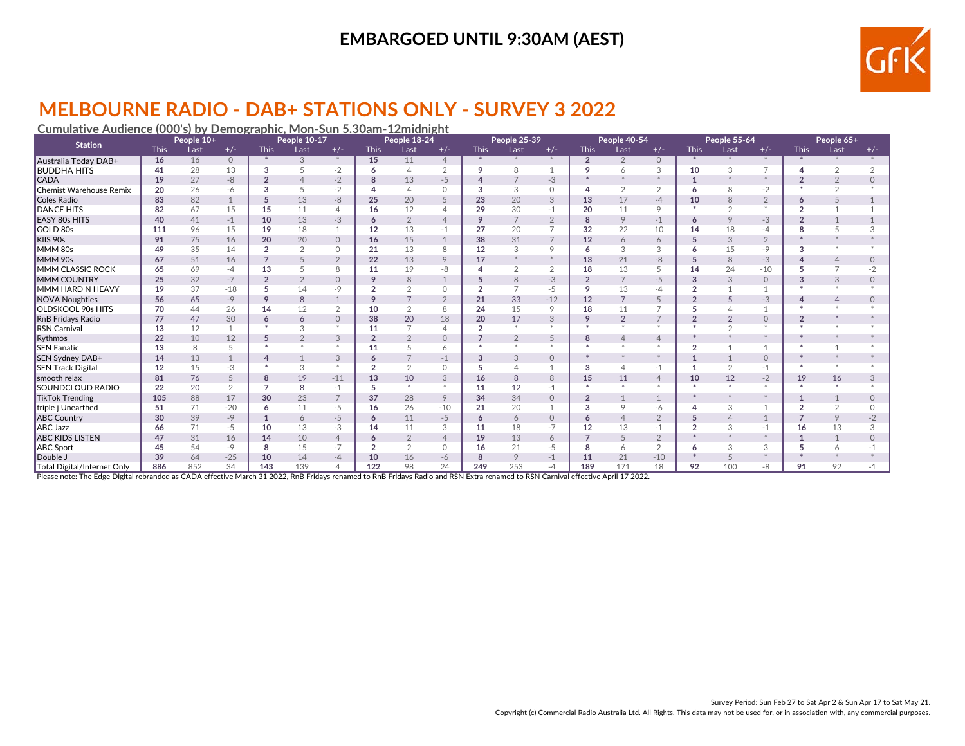

# **MELBOURNE RADIO - DAB+ STATIONS ONLY - SURVEY 3 2022**

#### **Cumulative Audience (000's) by Demographic, Mon-Sun 5.30am-12midnight**

| <b>Station</b>              |             | People 10+ |               |                | People 10-17   |                |                | People 18-24   |                 |                | People 25-39    |                |                | People 40-54   |                |                | People 55-64  |                |                | People 65+     |          |
|-----------------------------|-------------|------------|---------------|----------------|----------------|----------------|----------------|----------------|-----------------|----------------|-----------------|----------------|----------------|----------------|----------------|----------------|---------------|----------------|----------------|----------------|----------|
|                             | <b>This</b> | Last       | $+/-$         | <b>This</b>    | Last           | $+/-$          | <b>This</b>    | Last           | $+/-$           | <b>This</b>    | Last            | $+/-$          | <b>This</b>    | Last           | $+/-$          | <b>This</b>    | Last          | $+/-$          | <b>This</b>    | Last           | $+/-$    |
| Australia Today DAB+        | 16          | 16         | $\circ$       | *              | 3              | *              | 15             | 11             | $\overline{4}$  | $*$            | $*$             | $*$            | $\overline{2}$ | $\overline{2}$ | $\circ$        | *              | *             | $*$            |                |                |          |
| <b>BUDDHA HITS</b>          | 41          | 28         | 13            | 3              |                | $-2$           | 6              | $\Delta$       | $\overline{2}$  | 9              | 8               |                | 9              | 6              | 3              | 10             | 3             | $\overline{ }$ | Δ              |                |          |
| <b>CADA</b>                 | 19          | 27         | $-8$          | $\mathfrak{p}$ |                | $-2$           | 8              | 13             | $-5$            |                | $\overline{7}$  | $-3$           |                |                | $\ast$         |                |               | $\ast$         |                | $\overline{2}$ | $\Omega$ |
| Chemist Warehouse Remix     | 20          | 26         | -6            | 3              |                | $-2$           |                | $\Delta$       | $\circ$         | 3              | 3               | $\circ$        | 4              | $\overline{2}$ | 2              | 6              | 8             | $-2$           |                | $\sim$         |          |
| Coles Radio                 | 83          | 82         |               | 5              | 13             | $-8$           | 25             | 20             | 5               | 23             | 20              | 3              | 13             | 17             | $-4$           | 10             | $\mathcal{B}$ | $\overline{2}$ |                |                |          |
| <b>DANCE HITS</b>           | 82          | 67         | 15            | 15             | 11             | 4              | 16             | 12             | 4               | 29             | 30              | $-1$           | 20             | 11             | 9              |                |               | $\ast$         |                |                |          |
| <b>EASY 80s HITS</b>        | 40          | 41         | $-1$          | 10             | 13             | $-3$           | 6              | $\overline{2}$ | $\overline{4}$  | 9              | $7\overline{ }$ | $\overline{2}$ | 8              | 9              | $-1$           | 6              | $\circ$       | $-3$           |                |                |          |
| GOLD 80s                    | 111         | 96         | 15            | 19             | 18             | 1              | 12             | 13             | $-1$            | 27             | 20              |                | 32             | 22             | 10             | 14             | 18            | $-4$           | я              | 5              |          |
| KIIS 90s                    | 91          | 75         | 16            | 20             | 20             | $\circ$        | 16             | 15             | $\mathbf{1}$    | 38             | 31              | $\overline{7}$ | 12             | $\overline{6}$ | 6              | 5              | 3             | $\overline{2}$ |                |                |          |
| MMM 80s                     | 49          | 35         | 14            | $\mathfrak{p}$ | $\overline{2}$ | $\Omega$       | 21             | 13             | 8               | 12             | 3               | 9              | 6              | 3              | 3              |                | 15            | $-9$           | 3              |                |          |
| MMM 90s                     | 67          | 51         | 16            |                |                | $\overline{2}$ | 22             | 13             | 9               | 17             | $\ast$          | $*$            | 13             | 21             | -8             | 5              | 8             | $-3$           |                | $\overline{4}$ |          |
| <b>MMM CLASSIC ROCK</b>     | 65          | 69         | $-4$          | 13             |                | 8              | 11             | 19             | -8              |                | 2               | $\overline{2}$ | 18             | 13             | 5              | 14             | 24            | $-10$          |                | $\overline{7}$ | $-2$     |
| <b>MMM COUNTRY</b>          | 25          | 32         | $-7$          | $\overline{2}$ | $\overline{2}$ | $\Omega$       | 9              | 8              |                 | 5              | 8               | $-3$           | $\overline{2}$ | $\overline{7}$ | $-5$           | 3              | 3             | $\circ$        | 3              | 3              | $\Omega$ |
| MMM HARD N HEAVY            | 19          | 37         | $-18$         | 5              | 14             | $-9$           |                | $\Omega$       | $\circ$         | $\overline{2}$ | $\overline{7}$  | $-5$           | 9              | 13             | -4             |                |               | $\overline{ }$ |                |                |          |
| <b>NOVA</b> Noughties       | 56          | 65         | $-9$          | 9              | 8              | $\mathbf{1}$   | q              |                | $\overline{2}$  | 21             | 33              | $-12$          | 12             | $\overline{7}$ | 5              | $\mathfrak{p}$ |               | $-3$           |                |                |          |
| <b>OLDSKOOL 90s HITS</b>    | 70          | 44         | 26            | 14             | 12             | $\overline{2}$ | 10             | $\overline{2}$ | 8               | 24             | 15              | 9              | 18             | 11             | $\overline{7}$ |                |               | 1              |                |                |          |
| RnB Fridays Radio           | 77          | 47         | 30            | 6              | 6              | $\Omega$       | 38             | 20             | 18              | 20             | 17              | 3              | 9              | $\overline{2}$ | $\overline{7}$ | $\overline{2}$ |               | $\circ$        |                |                |          |
| <b>RSN Carnival</b>         | 13          | 12         |               |                | 3              | $\ast$         | 11             |                |                 | $\overline{2}$ | $*$             |                | $\ast$         | $\mathbf{x}$   | $\star$        |                |               | $\ast$         |                |                |          |
| Rythmos                     | 22          | 10         | 12            | 5              | $\overline{2}$ | 3              | $\overline{2}$ | $\overline{2}$ | $\circ$         |                | $\overline{2}$  | 5              | 8              | $\overline{4}$ | $\overline{4}$ |                |               |                |                |                |          |
| <b>SEN Fanatic</b>          | 13          | 8          | 5             | $\star$        | $\star$        | $\mathcal{R}$  | 11             | 5              | 6               | $\mathbf{r}$   | $\pm$           | $\mathbf{r}$   | $\mathbf{r}$   | $\pm$          | $\star$        | $\mathfrak{p}$ |               |                |                |                |          |
| SEN Sydney DAB+             | 14          | 13         |               | 4              |                | 3              | 6              |                | $-1$            | 3              | 3               | $\circ$        |                |                |                |                |               | $\circ$        |                |                |          |
| <b>SEN Track Digital</b>    | 12          | 15         | $-3$          | $\ast$         | 3              | $\ast$         |                | $\sim$         | $\circ$         |                | $\overline{4}$  |                | 3              | $\overline{4}$ | $-1$           |                |               | -1             |                |                |          |
| smooth relax                | 81          | 76         | 5             | 8              | 19             | $-11$          | 13             | 10             | 3               | 16             | 8               | 8              | 15             | 11             | $\overline{4}$ | 10             | 12            | $-2$           | 19             | 16             | 3        |
| <b>SOUNDCLOUD RADIO</b>     | 22          | 20         | $\mathcal{P}$ | $\overline{7}$ | 8              | $-1$           | 5              | $\rightarrow$  | $\mathcal{R}$ . | 11             | 12              | $-1$           | $\mathbf{r}$   | $\pm$          | $\star$        |                |               | $\infty$       |                | $\star$        |          |
| TikTok Trending             | 105         | 88         | 17            | 30             | 23             | $\overline{7}$ | 37             | 28             | 9               | 34             | 34              | $\Omega$       | $\overline{2}$ |                |                |                |               |                |                | $\mathbf{1}$   | $\Omega$ |
| triple j Unearthed          | 51          | 71         | $-20$         | 6              | 11             | $-5$           | 16             | 26             | $-10$           | 21             | 20              |                | 3              | 9              | -6             |                | 3             |                | $\overline{2}$ | 2              |          |
| <b>ABC Country</b>          | 30          | 39         | $-9$          | $\mathbf{1}$   | 6              | $-5$           | 6              | 11             | $-5$            | 6              | 6               | $\Omega$       | 6              |                | $\overline{2}$ | 5              |               |                |                | 9              | $-2$     |
| <b>ABC Jazz</b>             | 66          | 71         | $-5$          | 10             | 13             | $-3$           | 14             | 11             | 3               | 11             | 18              | $-7$           | 12             | 13             | $-1$           | $\overline{2}$ | 3             | $-1$           | 16             | 13             |          |
| <b>ABC KIDS LISTEN</b>      | 47          | 31         | 16            | 14             | 10             | $\overline{4}$ | 6              | $\overline{2}$ | $\overline{4}$  | 19             | 13              | 6              | $\overline{7}$ | 5              | $\overline{2}$ |                |               | $\ast$         |                | $\mathbf{1}$   |          |
| ABC Sport                   | 45          | 54         | $-9$          | 8              | 15             | $-7$           |                | $\Omega$       | $\circ$         | 16             | 21              | $-5$           | 8              |                | 2              | 6              | 3             | 3              |                | 6              |          |
| Double J                    | 39          | 64         | $-25$         | 10             | 14             | $-4$           | 10             | 16             | -6              |                | 9               | $-1$           | 11             | 21             | $-10$          |                |               |                |                |                |          |
| Total Digital/Internet Only | 886         | 852        | 34            | 143            | 139            |                | 122            | 98             | 24              | 249            | 253             | -4             | 189            | 171            | 18             | 92             | 100           | -8             | 91             | 92             |          |

Please note: The Edge Digital rebranded as CADA effective March 31 2022, RnB Fridays renamed to RnB Fridays Radio and RSN Extra renamed to RSN Carnival effective April 17 2022.